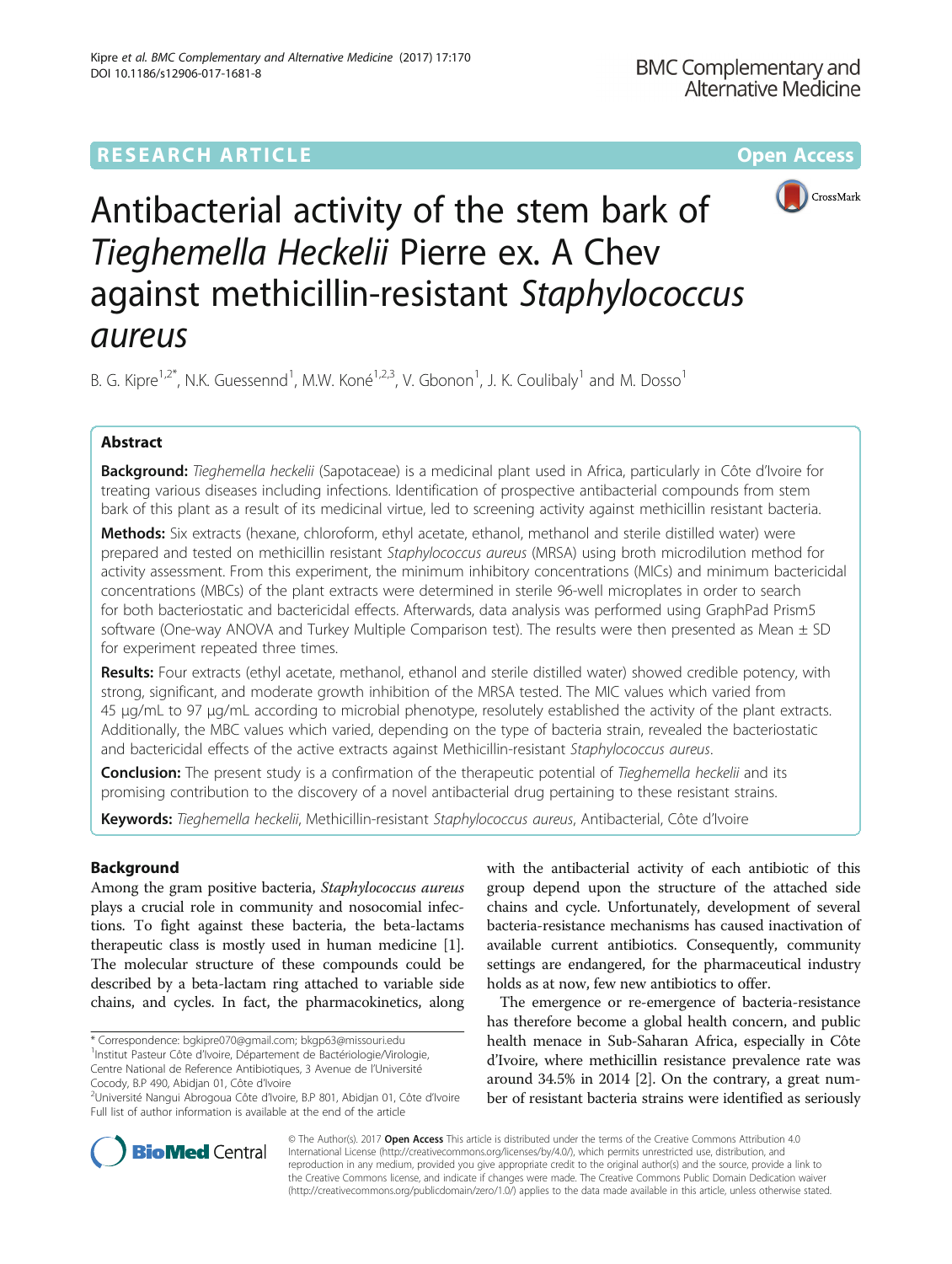## **RESEARCH ARTICLE Example 2014 12:30 The Contract of Contract ACCESS**



# Antibacterial activity of the stem bark of Tieghemella Heckelii Pierre ex. A Chev against methicillin-resistant Staphylococcus aureus

B. G. Kipre<sup>1,2\*</sup>, N.K. Guessennd<sup>1</sup>, M.W. Koné<sup>1,2,3</sup>, V. Gbonon<sup>1</sup>, J. K. Coulibaly<sup>1</sup> and M. Dosso<sup>1</sup>

## Abstract

Background: Tieghemella heckelii (Sapotaceae) is a medicinal plant used in Africa, particularly in Côte d'Ivoire for treating various diseases including infections. Identification of prospective antibacterial compounds from stem bark of this plant as a result of its medicinal virtue, led to screening activity against methicillin resistant bacteria.

Methods: Six extracts (hexane, chloroform, ethyl acetate, ethanol, methanol and sterile distilled water) were prepared and tested on methicillin resistant Staphylococcus aureus (MRSA) using broth microdilution method for activity assessment. From this experiment, the minimum inhibitory concentrations (MICs) and minimum bactericidal concentrations (MBCs) of the plant extracts were determined in sterile 96-well microplates in order to search for both bacteriostatic and bactericidal effects. Afterwards, data analysis was performed using GraphPad Prism5 software (One-way ANOVA and Turkey Multiple Comparison test). The results were then presented as Mean  $\pm$  SD for experiment repeated three times.

Results: Four extracts (ethyl acetate, methanol, ethanol and sterile distilled water) showed credible potency, with strong, significant, and moderate growth inhibition of the MRSA tested. The MIC values which varied from 45 μg/mL to 97 μg/mL according to microbial phenotype, resolutely established the activity of the plant extracts. Additionally, the MBC values which varied, depending on the type of bacteria strain, revealed the bacteriostatic and bactericidal effects of the active extracts against Methicillin-resistant Staphylococcus aureus.

**Conclusion:** The present study is a confirmation of the therapeutic potential of Tieghemella heckelii and its promising contribution to the discovery of a novel antibacterial drug pertaining to these resistant strains.

Keywords: Tieghemella heckelii, Methicillin-resistant Staphylococcus aureus, Antibacterial, Côte d'Ivoire

## Background

Among the gram positive bacteria, Staphylococcus aureus plays a crucial role in community and nosocomial infections. To fight against these bacteria, the beta-lactams therapeutic class is mostly used in human medicine [[1](#page-3-0)]. The molecular structure of these compounds could be described by a beta-lactam ring attached to variable side chains, and cycles. In fact, the pharmacokinetics, along

with the antibacterial activity of each antibiotic of this group depend upon the structure of the attached side chains and cycle. Unfortunately, development of several bacteria-resistance mechanisms has caused inactivation of available current antibiotics. Consequently, community settings are endangered, for the pharmaceutical industry holds as at now, few new antibiotics to offer.

The emergence or re-emergence of bacteria-resistance has therefore become a global health concern, and public health menace in Sub-Saharan Africa, especially in Côte d'Ivoire, where methicillin resistance prevalence rate was around 34.5% in 2014 [\[2](#page-3-0)]. On the contrary, a great number of resistant bacteria strains were identified as seriously



© The Author(s). 2017 **Open Access** This article is distributed under the terms of the Creative Commons Attribution 4.0 International License [\(http://creativecommons.org/licenses/by/4.0/](http://creativecommons.org/licenses/by/4.0/)), which permits unrestricted use, distribution, and reproduction in any medium, provided you give appropriate credit to the original author(s) and the source, provide a link to the Creative Commons license, and indicate if changes were made. The Creative Commons Public Domain Dedication waiver [\(http://creativecommons.org/publicdomain/zero/1.0/](http://creativecommons.org/publicdomain/zero/1.0/)) applies to the data made available in this article, unless otherwise stated.

<sup>\*</sup> Correspondence: [bgkipre070@gmail.com;](mailto:bgkipre070@gmail.com) [bkgp63@missouri.edu](mailto:bkgp63@missouri.edu) <sup>1</sup>

<sup>&</sup>lt;sup>1</sup>Institut Pasteur Côte d'Ivoire, Département de Bactériologie/Virologie, Centre National de Reference Antibiotiques, 3 Avenue de l'Université Cocody, B.P 490, Abidjan 01, Côte d'Ivoire <sup>2</sup>

<sup>&</sup>lt;sup>2</sup>Université Nangui Abrogoua Côte d'Ivoire, B.P 801, Abidjan 01, Côte d'Ivoire Full list of author information is available at the end of the article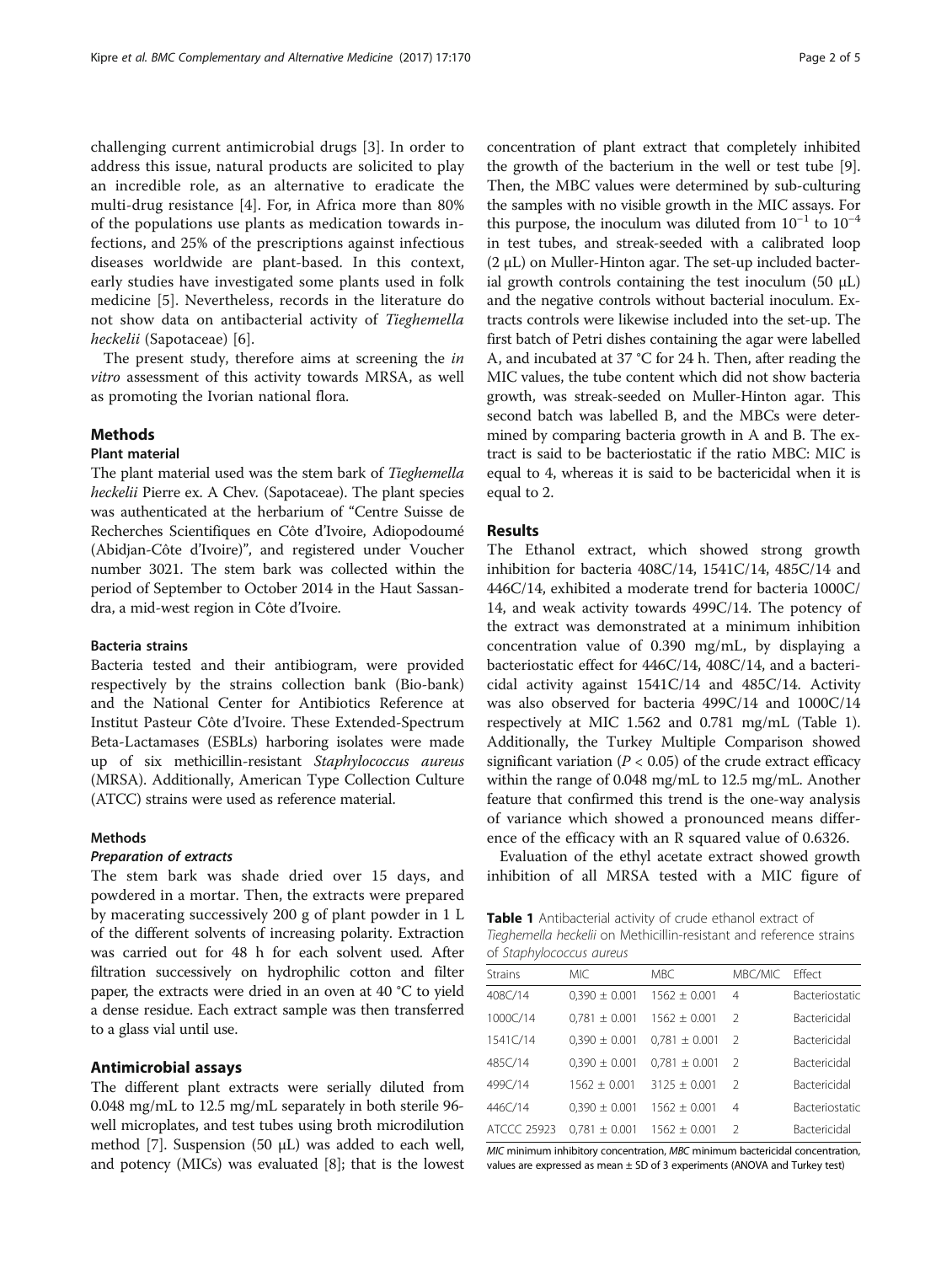challenging current antimicrobial drugs [[3](#page-3-0)]. In order to address this issue, natural products are solicited to play an incredible role, as an alternative to eradicate the multi-drug resistance [[4\]](#page-3-0). For, in Africa more than 80% of the populations use plants as medication towards infections, and 25% of the prescriptions against infectious diseases worldwide are plant-based. In this context, early studies have investigated some plants used in folk medicine [\[5](#page-3-0)]. Nevertheless, records in the literature do not show data on antibacterial activity of Tieghemella heckelii (Sapotaceae) [[6\]](#page-3-0).

The present study, therefore aims at screening the in vitro assessment of this activity towards MRSA, as well as promoting the Ivorian national flora.

## Methods

## Plant material

The plant material used was the stem bark of Tieghemella heckelii Pierre ex. A Chev. (Sapotaceae). The plant species was authenticated at the herbarium of "Centre Suisse de Recherches Scientifiques en Côte d'Ivoire, Adiopodoumé (Abidjan-Côte d'Ivoire)", and registered under Voucher number 3021. The stem bark was collected within the period of September to October 2014 in the Haut Sassandra, a mid-west region in Côte d'Ivoire.

#### Bacteria strains

Bacteria tested and their antibiogram, were provided respectively by the strains collection bank (Bio-bank) and the National Center for Antibiotics Reference at Institut Pasteur Côte d'Ivoire. These Extended-Spectrum Beta-Lactamases (ESBLs) harboring isolates were made up of six methicillin-resistant Staphylococcus aureus (MRSA). Additionally, American Type Collection Culture (ATCC) strains were used as reference material.

#### Methods

## Preparation of extracts

The stem bark was shade dried over 15 days, and powdered in a mortar. Then, the extracts were prepared by macerating successively 200 g of plant powder in 1 L of the different solvents of increasing polarity. Extraction was carried out for 48 h for each solvent used. After filtration successively on hydrophilic cotton and filter paper, the extracts were dried in an oven at 40 °C to yield a dense residue. Each extract sample was then transferred to a glass vial until use.

#### Antimicrobial assays

The different plant extracts were serially diluted from 0.048 mg/mL to 12.5 mg/mL separately in both sterile 96 well microplates, and test tubes using broth microdilution method [[7](#page-3-0)]. Suspension (50  $\mu$ L) was added to each well, and potency (MICs) was evaluated [[8\]](#page-4-0); that is the lowest

concentration of plant extract that completely inhibited the growth of the bacterium in the well or test tube [[9](#page-4-0)]. Then, the MBC values were determined by sub-culturing the samples with no visible growth in the MIC assays. For this purpose, the inoculum was diluted from  $10^{-1}$  to  $10^{-4}$ in test tubes, and streak-seeded with a calibrated loop (2 μL) on Muller-Hinton agar. The set-up included bacterial growth controls containing the test inoculum  $(50 \mu L)$ and the negative controls without bacterial inoculum. Extracts controls were likewise included into the set-up. The first batch of Petri dishes containing the agar were labelled A, and incubated at 37 °C for 24 h. Then, after reading the MIC values, the tube content which did not show bacteria growth, was streak-seeded on Muller-Hinton agar. This second batch was labelled B, and the MBCs were determined by comparing bacteria growth in A and B. The extract is said to be bacteriostatic if the ratio MBC: MIC is equal to 4, whereas it is said to be bactericidal when it is equal to 2.

## Results

The Ethanol extract, which showed strong growth inhibition for bacteria 408C/14, 1541C/14, 485C/14 and 446C/14, exhibited a moderate trend for bacteria 1000C/ 14, and weak activity towards 499C/14. The potency of the extract was demonstrated at a minimum inhibition concentration value of 0.390 mg/mL, by displaying a bacteriostatic effect for 446C/14, 408C/14, and a bactericidal activity against 1541C/14 and 485C/14. Activity was also observed for bacteria 499C/14 and 1000C/14 respectively at MIC 1.562 and 0.781 mg/mL (Table 1). Additionally, the Turkey Multiple Comparison showed significant variation ( $P < 0.05$ ) of the crude extract efficacy within the range of 0.048 mg/mL to 12.5 mg/mL. Another feature that confirmed this trend is the one-way analysis of variance which showed a pronounced means difference of the efficacy with an R squared value of 0.6326.

Evaluation of the ethyl acetate extract showed growth inhibition of all MRSA tested with a MIC figure of

Table 1 Antibacterial activity of crude ethanol extract of Tieghemella heckelii on Methicillin-resistant and reference strains of Staphylococcus aureus

| <b>Strains</b> | <b>MIC</b>        | <b>MBC</b>        | MBC/MIC       | <b>Fffect</b>         |  |
|----------------|-------------------|-------------------|---------------|-----------------------|--|
| 408C/14        | $0.390 \pm 0.001$ | $1562 \pm 0.001$  | 4             | Bacteriostatic        |  |
| 1000C/14       | $0.781 \pm 0.001$ | $1562 + 0.001$    | $\mathcal{L}$ | <b>Bactericidal</b>   |  |
| 1541C/14       | $0.390 \pm 0.001$ | $0.781 \pm 0.001$ | $\mathcal{L}$ | <b>Bactericidal</b>   |  |
| 485C/14        | $0.390 \pm 0.001$ | $0.781 \pm 0.001$ | 2             | <b>Bactericidal</b>   |  |
| 499C/14        | $1562 + 0.001$    | $3125 + 0.001$    | $\mathcal{P}$ | <b>Bactericidal</b>   |  |
| 446C/14        | $0.390 \pm 0.001$ | $1562 + 0.001$    | 4             | <b>Bacteriostatic</b> |  |
| ATCCC 25923    | $0.781 \pm 0.001$ | $1562 + 0.001$    | $\mathcal{P}$ | <b>Bactericidal</b>   |  |

MIC minimum inhibitory concentration, MBC minimum bactericidal concentration, values are expressed as mean ± SD of 3 experiments (ANOVA and Turkey test)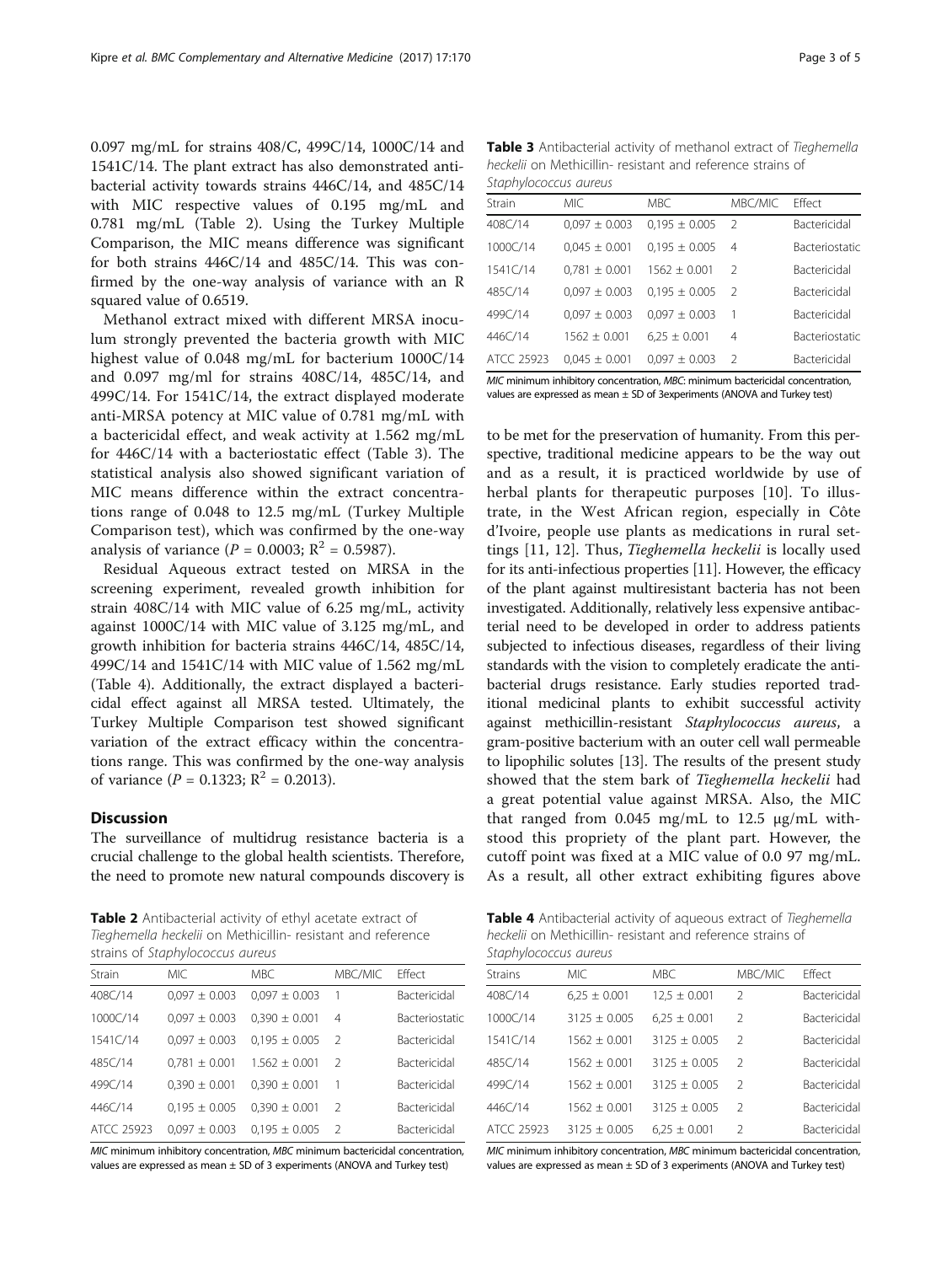0.097 mg/mL for strains 408/C, 499C/14, 1000C/14 and 1541C/14. The plant extract has also demonstrated antibacterial activity towards strains 446C/14, and 485C/14 with MIC respective values of 0.195 mg/mL and 0.781 mg/mL (Table 2). Using the Turkey Multiple Comparison, the MIC means difference was significant for both strains 446C/14 and 485C/14. This was confirmed by the one-way analysis of variance with an R squared value of 0.6519.

Methanol extract mixed with different MRSA inoculum strongly prevented the bacteria growth with MIC highest value of 0.048 mg/mL for bacterium 1000C/14 and 0.097 mg/ml for strains 408C/14, 485C/14, and 499C/14. For 1541C/14, the extract displayed moderate anti-MRSA potency at MIC value of 0.781 mg/mL with a bactericidal effect, and weak activity at 1.562 mg/mL for 446C/14 with a bacteriostatic effect (Table 3). The statistical analysis also showed significant variation of MIC means difference within the extract concentrations range of 0.048 to 12.5 mg/mL (Turkey Multiple Comparison test), which was confirmed by the one-way analysis of variance ( $P = 0.0003$ ;  $R^2 = 0.5987$ ).

Residual Aqueous extract tested on MRSA in the screening experiment, revealed growth inhibition for strain 408C/14 with MIC value of 6.25 mg/mL, activity against 1000C/14 with MIC value of 3.125 mg/mL, and growth inhibition for bacteria strains 446C/14, 485C/14, 499C/14 and 1541C/14 with MIC value of 1.562 mg/mL (Table 4). Additionally, the extract displayed a bactericidal effect against all MRSA tested. Ultimately, the Turkey Multiple Comparison test showed significant variation of the extract efficacy within the concentrations range. This was confirmed by the one-way analysis of variance  $(P = 0.1323; R^2 = 0.2013)$ .

## **Discussion**

The surveillance of multidrug resistance bacteria is a crucial challenge to the global health scientists. Therefore, the need to promote new natural compounds discovery is

Table 2 Antibacterial activity of ethyl acetate extract of Tieghemella heckelii on Methicillin- resistant and reference strains of Staphylococcus aureus

| stiams or stapiljioeseds aareas |                   |                   |               |                       |
|---------------------------------|-------------------|-------------------|---------------|-----------------------|
| Strain                          | MIC.              | <b>MBC</b>        | MBC/MIC       | <b>Fffect</b>         |
| 408C/14                         | $0.097 \pm 0.003$ | $0.097 \pm 0.003$ | 1             | Bactericidal          |
| 1000C/14                        | $0.097 \pm 0.003$ | $0.390 \pm 0.001$ | 4             | <b>Bacteriostatic</b> |
| 1541C/14                        | $0.097 \pm 0.003$ | $0.195 \pm 0.005$ | $\mathcal{P}$ | <b>Bactericidal</b>   |
| 485C/14                         | $0.781 \pm 0.001$ | $1.562 + 0.001$   | $\mathcal{P}$ | <b>Bactericidal</b>   |
| 499C/14                         | $0.390 \pm 0.001$ | $0.390 \pm 0.001$ |               | <b>Bactericidal</b>   |
| 446C/14                         | $0.195 \pm 0.005$ | $0.390 \pm 0.001$ | $\mathcal{P}$ | Bactericidal          |
| <b>ATCC 25923</b>               | $0.097 \pm 0.003$ | $0.195 \pm 0.005$ | 2             | <b>Bactericidal</b>   |

MIC minimum inhibitory concentration, MBC minimum bactericidal concentration, values are expressed as mean ± SD of 3 experiments (ANOVA and Turkey test)

Table 3 Antibacterial activity of methanol extract of Tieghemella heckelii on Methicillin- resistant and reference strains of Staphylococcus aureus

| Strain     | MIC.              | MBC               | MBC/MIC       | <b>Fffect</b>         |
|------------|-------------------|-------------------|---------------|-----------------------|
| 408C/14    | $0.097 \pm 0.003$ | $0.195 \pm 0.005$ | 2             | <b>Bactericidal</b>   |
| 1000C/14   | $0.045 \pm 0.001$ | $0.195 \pm 0.005$ | 4             | Bacteriostatic        |
| 1541C/14   | $0.781 \pm 0.001$ | $1562 + 0.001$    | $\mathcal{D}$ | <b>Bactericidal</b>   |
| 485C/14    | $0.097 \pm 0.003$ | $0.195 \pm 0.005$ | 2             | <b>Bactericidal</b>   |
| 499C/14    | $0.097 \pm 0.003$ | $0.097 \pm 0.003$ | 1             | <b>Bactericidal</b>   |
| 446C/14    | $1562 \pm 0.001$  | $6.25 \pm 0.001$  | 4             | <b>Bacteriostatic</b> |
| ATCC 25923 | $0.045 \pm 0.001$ | $0.097 \pm 0.003$ | 2             | <b>Bactericidal</b>   |
|            |                   |                   |               |                       |

MIC minimum inhibitory concentration, MBC: minimum bactericidal concentration, values are expressed as mean ± SD of 3experiments (ANOVA and Turkey test)

to be met for the preservation of humanity. From this perspective, traditional medicine appears to be the way out and as a result, it is practiced worldwide by use of herbal plants for therapeutic purposes [\[10](#page-4-0)]. To illustrate, in the West African region, especially in Côte d'Ivoire, people use plants as medications in rural settings [\[11](#page-4-0), [12](#page-4-0)]. Thus, Tieghemella heckelii is locally used for its anti-infectious properties [[11](#page-4-0)]. However, the efficacy of the plant against multiresistant bacteria has not been investigated. Additionally, relatively less expensive antibacterial need to be developed in order to address patients subjected to infectious diseases, regardless of their living standards with the vision to completely eradicate the antibacterial drugs resistance. Early studies reported traditional medicinal plants to exhibit successful activity against methicillin-resistant Staphylococcus aureus, a gram-positive bacterium with an outer cell wall permeable to lipophilic solutes [\[13](#page-4-0)]. The results of the present study showed that the stem bark of Tieghemella heckelii had a great potential value against MRSA. Also, the MIC that ranged from 0.045 mg/mL to 12.5 μg/mL withstood this propriety of the plant part. However, the cutoff point was fixed at a MIC value of 0.0 97 mg/mL. As a result, all other extract exhibiting figures above

Table 4 Antibacterial activity of aqueous extract of Tieghemella heckelii on Methicillin- resistant and reference strains of

| Staphylococcus aureus |                  |                  |               |                     |  |
|-----------------------|------------------|------------------|---------------|---------------------|--|
| <b>Strains</b>        | MIC.             | <b>MBC</b>       | MBC/MIC       | <b>Fffect</b>       |  |
| 408C/14               | $6,25 \pm 0.001$ | $12.5 \pm 0.001$ | $\mathcal{L}$ | <b>Bactericidal</b> |  |
| 1000C/14              | $3125 + 0.005$   | $6.25 \pm 0.001$ | $\mathcal{P}$ | <b>Bactericidal</b> |  |
| 1541C/14              | $1562 \pm 0.001$ | $3125 + 0.005$   | $\mathcal{P}$ | <b>Bactericidal</b> |  |
| 485C/14               | $1562 + 0.001$   | $3125 + 0.005$   | $\mathcal{D}$ | <b>Bactericidal</b> |  |
| 499C/14               | $1562 + 0.001$   | $3125 + 0.005$   | $\mathcal{D}$ | <b>Bactericidal</b> |  |
| 446C/14               | $1562 + 0.001$   | $3125 + 0.005$   | $\mathcal{L}$ | <b>Bactericidal</b> |  |
| ATCC 25923            | $3125 + 0.005$   | $6.25 \pm 0.001$ | $\mathcal{P}$ | <b>Bactericidal</b> |  |

MIC minimum inhibitory concentration, MBC minimum bactericidal concentration, values are expressed as mean ± SD of 3 experiments (ANOVA and Turkey test)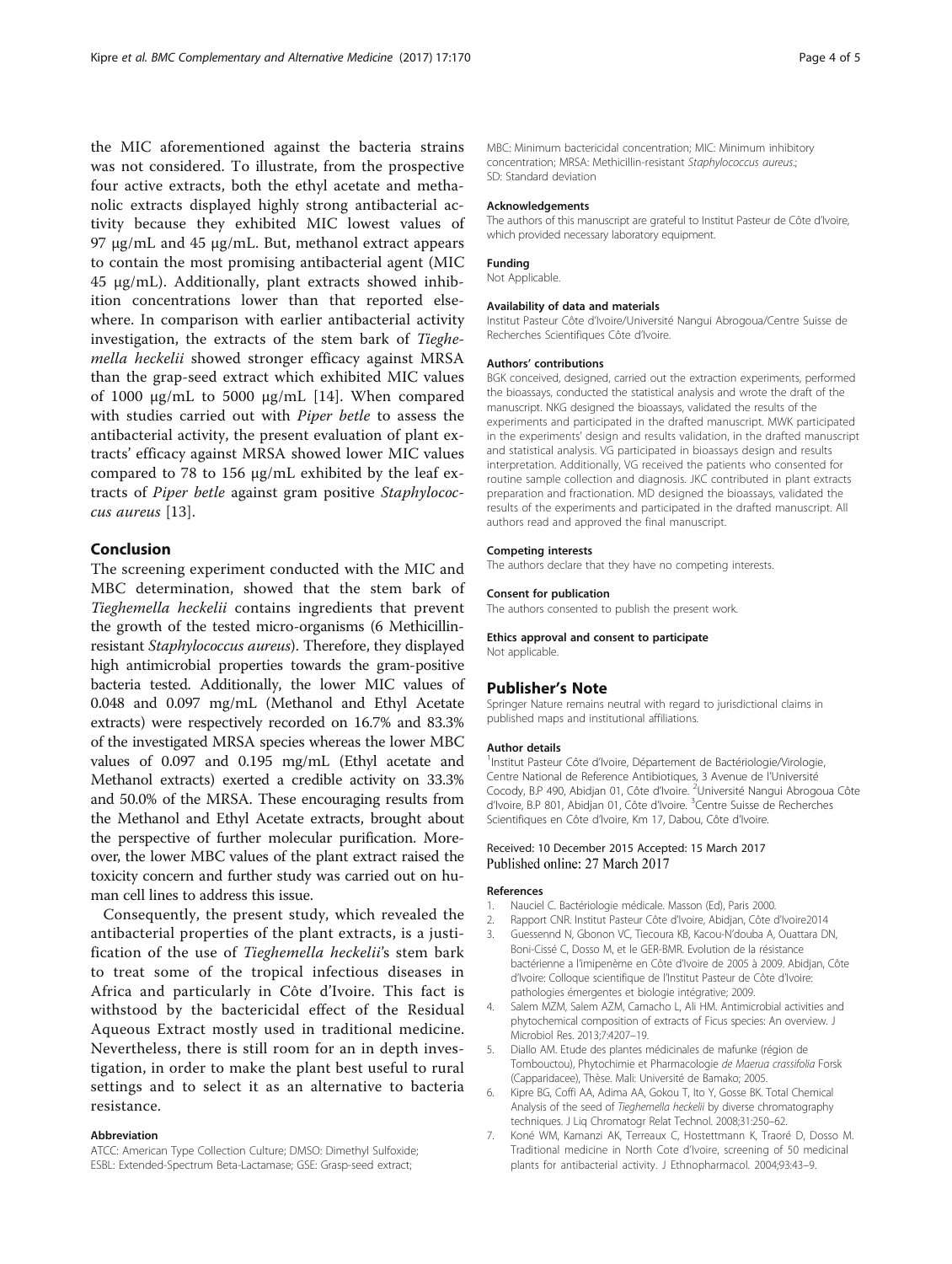<span id="page-3-0"></span>the MIC aforementioned against the bacteria strains was not considered. To illustrate, from the prospective four active extracts, both the ethyl acetate and methanolic extracts displayed highly strong antibacterial activity because they exhibited MIC lowest values of 97 μg/mL and 45 μg/mL. But, methanol extract appears to contain the most promising antibacterial agent (MIC 45 μg/mL). Additionally, plant extracts showed inhibition concentrations lower than that reported elsewhere. In comparison with earlier antibacterial activity investigation, the extracts of the stem bark of Tieghemella heckelii showed stronger efficacy against MRSA than the grap-seed extract which exhibited MIC values of 1000 μg/mL to 5000 μg/mL [\[14](#page-4-0)]. When compared with studies carried out with Piper betle to assess the antibacterial activity, the present evaluation of plant extracts' efficacy against MRSA showed lower MIC values compared to 78 to 156 μg/mL exhibited by the leaf extracts of Piper betle against gram positive Staphylococcus aureus [[13\]](#page-4-0).

## Conclusion

The screening experiment conducted with the MIC and MBC determination, showed that the stem bark of Tieghemella heckelii contains ingredients that prevent the growth of the tested micro-organisms (6 Methicillinresistant Staphylococcus aureus). Therefore, they displayed high antimicrobial properties towards the gram-positive bacteria tested. Additionally, the lower MIC values of 0.048 and 0.097 mg/mL (Methanol and Ethyl Acetate extracts) were respectively recorded on 16.7% and 83.3% of the investigated MRSA species whereas the lower MBC values of 0.097 and 0.195 mg/mL (Ethyl acetate and Methanol extracts) exerted a credible activity on 33.3% and 50.0% of the MRSA. These encouraging results from the Methanol and Ethyl Acetate extracts, brought about the perspective of further molecular purification. Moreover, the lower MBC values of the plant extract raised the toxicity concern and further study was carried out on human cell lines to address this issue.

Consequently, the present study, which revealed the antibacterial properties of the plant extracts, is a justification of the use of Tieghemella heckelii's stem bark to treat some of the tropical infectious diseases in Africa and particularly in Côte d'Ivoire. This fact is withstood by the bactericidal effect of the Residual Aqueous Extract mostly used in traditional medicine. Nevertheless, there is still room for an in depth investigation, in order to make the plant best useful to rural settings and to select it as an alternative to bacteria resistance.

#### Abbreviation

ATCC: American Type Collection Culture; DMSO: Dimethyl Sulfoxide; ESBL: Extended-Spectrum Beta-Lactamase; GSE: Grasp-seed extract;

MBC: Minimum bactericidal concentration; MIC: Minimum inhibitory concentration; MRSA: Methicillin-resistant Staphylococcus aureus.; SD: Standard deviation

#### Acknowledgements

The authors of this manuscript are grateful to Institut Pasteur de Côte d'Ivoire, which provided necessary laboratory equipment.

#### Funding

Not Applicable.

#### Availability of data and materials

Institut Pasteur Côte d'Ivoire/Université Nangui Abrogoua/Centre Suisse de Recherches Scientifiques Côte d'Ivoire.

#### Authors' contributions

BGK conceived, designed, carried out the extraction experiments, performed the bioassays, conducted the statistical analysis and wrote the draft of the manuscript. NKG designed the bioassays, validated the results of the experiments and participated in the drafted manuscript. MWK participated in the experiments' design and results validation, in the drafted manuscript and statistical analysis. VG participated in bioassays design and results interpretation. Additionally, VG received the patients who consented for routine sample collection and diagnosis. JKC contributed in plant extracts preparation and fractionation. MD designed the bioassays, validated the results of the experiments and participated in the drafted manuscript. All authors read and approved the final manuscript.

#### Competing interests

The authors declare that they have no competing interests.

#### Consent for publication

The authors consented to publish the present work.

#### Ethics approval and consent to participate Not applicable.

## Publisher's Note

Springer Nature remains neutral with regard to jurisdictional claims in published maps and institutional affiliations.

#### Author details

<sup>1</sup>Institut Pasteur Côte d'Ivoire, Département de Bactériologie/Virologie, Centre National de Reference Antibiotiques, 3 Avenue de l'Université Cocody, B.P 490, Abidjan 01, Côte d'Ivoire. <sup>2</sup>Université Nangui Abrogoua Côte d'Ivoire, B.P 801, Abidjan 01, Côte d'Ivoire. <sup>3</sup>Centre Suisse de Recherches Scientifiques en Côte d'Ivoire, Km 17, Dabou, Côte d'Ivoire.

#### Received: 10 December 2015 Accepted: 15 March 2017 Published online: 27 March 2017

#### References

- 1. Nauciel C. Bactériologie médicale. Masson (Ed), Paris 2000.
- 2. Rapport CNR. Institut Pasteur Côte d'Ivoire, Abidjan, Côte d'Ivoire2014
- 3. Guessennd N, Gbonon VC, Tiecoura KB, Kacou-N'douba A, Ouattara DN, Boni-Cissé C, Dosso M, et le GER-BMR. Evolution de la résistance bactérienne a l'imipenème en Côte d'Ivoire de 2005 à 2009. Abidjan, Côte d'Ivoire: Colloque scientifique de l'Institut Pasteur de Côte d'Ivoire: pathologies émergentes et biologie intégrative; 2009.
- 4. Salem MZM, Salem AZM, Camacho L, Ali HM. Antimicrobial activities and phytochemical composition of extracts of Ficus species: An overview. J Microbiol Res. 2013;7:4207–19.
- 5. Diallo AM. Etude des plantes médicinales de mafunke (région de Tombouctou), Phytochimie et Pharmacologie de Maerua crassifolia Forsk (Capparidacee), Thèse. Mali: Université de Bamako; 2005.
- 6. Kipre BG, Coffi AA, Adima AA, Gokou T, Ito Y, Gosse BK. Total Chemical Analysis of the seed of Tieghemella heckelii by diverse chromatography techniques. J Liq Chromatogr Relat Technol. 2008;31:250–62.
- 7. Koné WM, Kamanzi AK, Terreaux C, Hostettmann K, Traoré D, Dosso M. Traditional medicine in North Cote d'Ivoire, screening of 50 medicinal plants for antibacterial activity. J Ethnopharmacol. 2004;93:43–9.